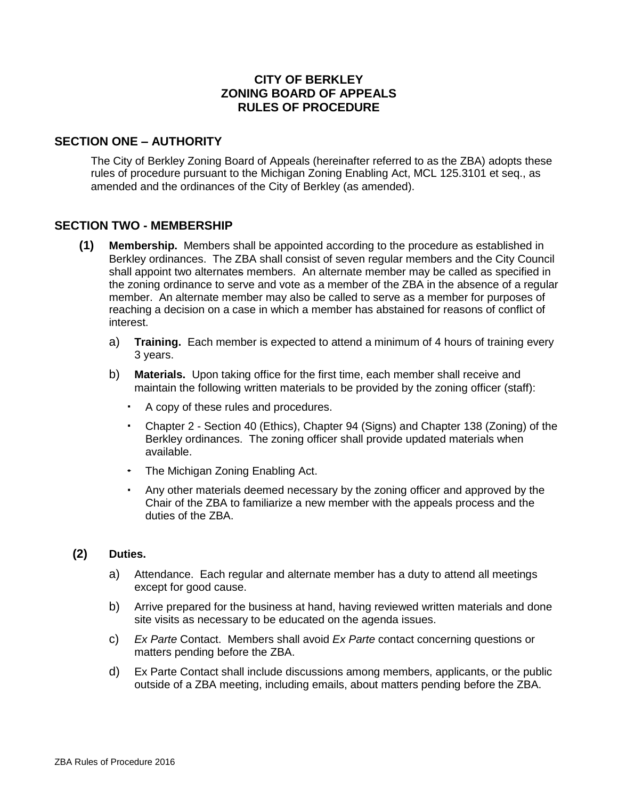# **CITY OF BERKLEY ZONING BOARD OF APPEALS RULES OF PROCEDURE**

## **SECTION ONE – AUTHORITY**

The City of Berkley Zoning Board of Appeals (hereinafter referred to as the ZBA) adopts these rules of procedure pursuant to the Michigan Zoning Enabling Act, MCL 125.3101 et seq., as amended and the ordinances of the City of Berkley (as amended).

## **SECTION TWO - MEMBERSHIP**

- **(1) Membership.** Members shall be appointed according to the procedure as established in Berkley ordinances. The ZBA shall consist of seven regular members and the City Council shall appoint two alternates members. An alternate member may be called as specified in the zoning ordinance to serve and vote as a member of the ZBA in the absence of a regular member. An alternate member may also be called to serve as a member for purposes of reaching a decision on a case in which a member has abstained for reasons of conflict of interest.
	- a) **Training.** Each member is expected to attend a minimum of 4 hours of training every 3 years.
	- b) **Materials.** Upon taking office for the first time, each member shall receive and maintain the following written materials to be provided by the zoning officer (staff):
		- A copy of these rules and procedures.
		- Chapter 2 Section 40 (Ethics), Chapter 94 (Signs) and Chapter 138 (Zoning) of the Berkley ordinances. The zoning officer shall provide updated materials when available.
		- The Michigan Zoning Enabling Act.
		- Any other materials deemed necessary by the zoning officer and approved by the Chair of the ZBA to familiarize a new member with the appeals process and the duties of the ZBA.

### **(2) Duties.**

- a) Attendance. Each regular and alternate member has a duty to attend all meetings except for good cause.
- b) Arrive prepared for the business at hand, having reviewed written materials and done site visits as necessary to be educated on the agenda issues.
- c) *Ex Parte* Contact. Members shall avoid *Ex Parte* contact concerning questions or matters pending before the ZBA.
- d) Ex Parte Contact shall include discussions among members, applicants, or the public outside of a ZBA meeting, including emails, about matters pending before the ZBA.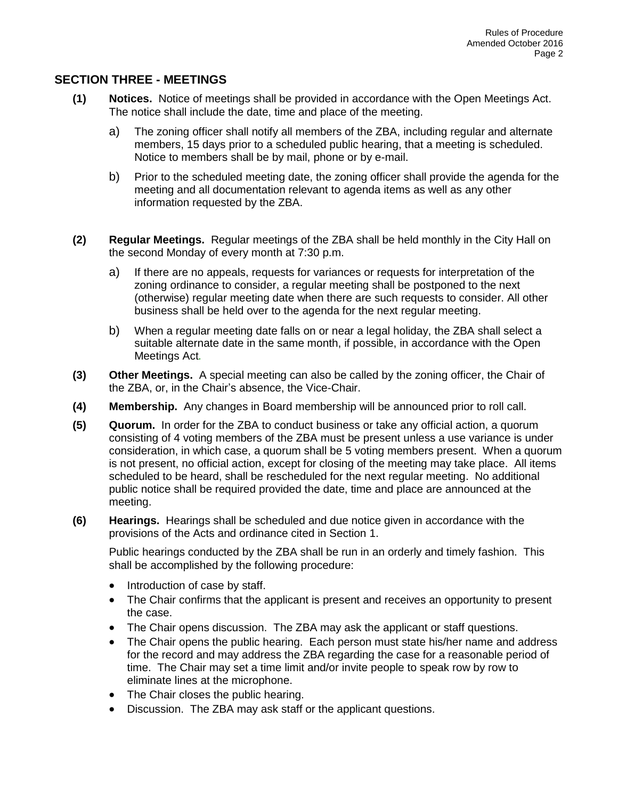## **SECTION THREE - MEETINGS**

- **(1) Notices.** Notice of meetings shall be provided in accordance with the Open Meetings Act. The notice shall include the date, time and place of the meeting.
	- a) The zoning officer shall notify all members of the ZBA, including regular and alternate members, 15 days prior to a scheduled public hearing, that a meeting is scheduled. Notice to members shall be by mail, phone or by e-mail.
	- b) Prior to the scheduled meeting date, the zoning officer shall provide the agenda for the meeting and all documentation relevant to agenda items as well as any other information requested by the ZBA.
- **(2) Regular Meetings.** Regular meetings of the ZBA shall be held monthly in the City Hall on the second Monday of every month at 7:30 p.m.
	- a) If there are no appeals, requests for variances or requests for interpretation of the zoning ordinance to consider, a regular meeting shall be postponed to the next (otherwise) regular meeting date when there are such requests to consider. All other business shall be held over to the agenda for the next regular meeting.
	- b) When a regular meeting date falls on or near a legal holiday, the ZBA shall select a suitable alternate date in the same month, if possible, in accordance with the Open Meetings Act*.*
- **(3) Other Meetings.** A special meeting can also be called by the zoning officer, the Chair of the ZBA, or, in the Chair's absence, the Vice-Chair.
- **(4) Membership.** Any changes in Board membership will be announced prior to roll call.
- **(5) Quorum.** In order for the ZBA to conduct business or take any official action, a quorum consisting of 4 voting members of the ZBA must be present unless a use variance is under consideration, in which case, a quorum shall be 5 voting members present. When a quorum is not present, no official action, except for closing of the meeting may take place. All items scheduled to be heard, shall be rescheduled for the next regular meeting. No additional public notice shall be required provided the date, time and place are announced at the meeting.
- **(6) Hearings.** Hearings shall be scheduled and due notice given in accordance with the provisions of the Acts and ordinance cited in Section 1.

Public hearings conducted by the ZBA shall be run in an orderly and timely fashion. This shall be accomplished by the following procedure:

- Introduction of case by staff.
- The Chair confirms that the applicant is present and receives an opportunity to present the case.
- The Chair opens discussion. The ZBA may ask the applicant or staff questions.
- The Chair opens the public hearing. Each person must state his/her name and address for the record and may address the ZBA regarding the case for a reasonable period of time. The Chair may set a time limit and/or invite people to speak row by row to eliminate lines at the microphone.
- The Chair closes the public hearing.
- Discussion. The ZBA may ask staff or the applicant questions.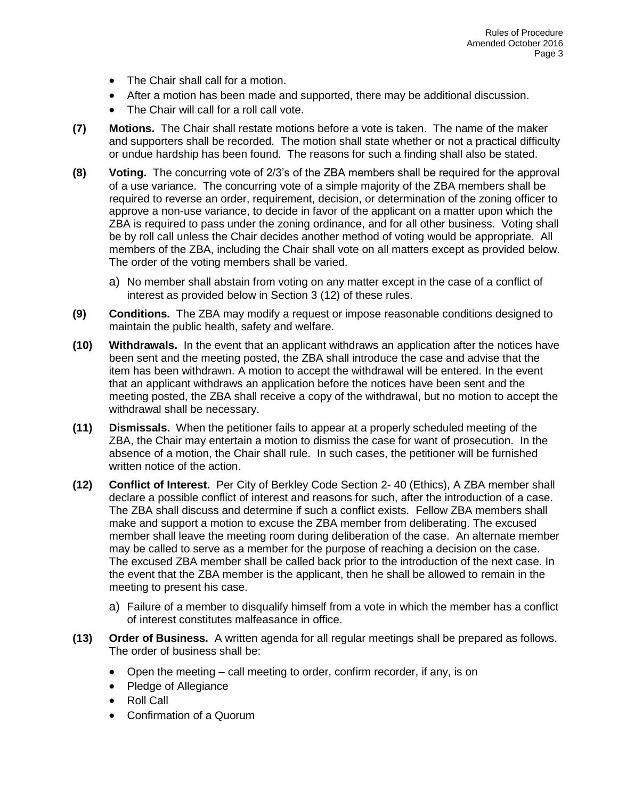- The Chair shall call for a motion.
- After a motion has been made and supported, there may be additional discussion.
- The Chair will call for a roll call vote.
- **(7) Motions.** The Chair shall restate motions before a vote is taken. The name of the maker and supporters shall be recorded. The motion shall state whether or not a practical difficulty or undue hardship has been found. The reasons for such a finding shall also be stated.
- **(8) Voting.** The concurring vote of 2/3's of the ZBA members shall be required for the approval of a use variance. The concurring vote of a simple majority of the ZBA members shall be required to reverse an order, requirement, decision, or determination of the zoning officer to approve a non-use variance, to decide in favor of the applicant on a matter upon which the ZBA is required to pass under the zoning ordinance, and for all other business. Voting shall be by roll call unless the Chair decides another method of voting would be appropriate. All members of the ZBA, including the Chair shall vote on all matters except as provided below. The order of the voting members shall be varied.
	- a) No member shall abstain from voting on any matter except in the case of a conflict of interest as provided below in Section 3 (12) of these rules.
- **(9) Conditions.** The ZBA may modify a request or impose reasonable conditions designed to maintain the public health, safety and welfare.
- **(10) Withdrawals.** In the event that an applicant withdraws an application after the notices have been sent and the meeting posted, the ZBA shall introduce the case and advise that the item has been withdrawn. A motion to accept the withdrawal will be entered. In the event that an applicant withdraws an application before the notices have been sent and the meeting posted, the ZBA shall receive a copy of the withdrawal, but no motion to accept the withdrawal shall be necessary.
- **(11) Dismissals.** When the petitioner fails to appear at a properly scheduled meeting of the ZBA, the Chair may entertain a motion to dismiss the case for want of prosecution. In the absence of a motion, the Chair shall rule. In such cases, the petitioner will be furnished written notice of the action.
- **(12) Conflict of Interest.** Per City of Berkley Code Section 2- 40 (Ethics), A ZBA member shall declare a possible conflict of interest and reasons for such, after the introduction of a case. The ZBA shall discuss and determine if such a conflict exists. Fellow ZBA members shall make and support a motion to excuse the ZBA member from deliberating. The excused member shall leave the meeting room during deliberation of the case. An alternate member may be called to serve as a member for the purpose of reaching a decision on the case. The excused ZBA member shall be called back prior to the introduction of the next case. In the event that the ZBA member is the applicant, then he shall be allowed to remain in the meeting to present his case.
	- a) Failure of a member to disqualify himself from a vote in which the member has a conflict of interest constitutes malfeasance in office.
- **(13) Order of Business.** A written agenda for all regular meetings shall be prepared as follows. The order of business shall be:
	- Open the meeting call meeting to order, confirm recorder, if any, is on
	- Pledge of Allegiance
	- Roll Call
	- Confirmation of a Quorum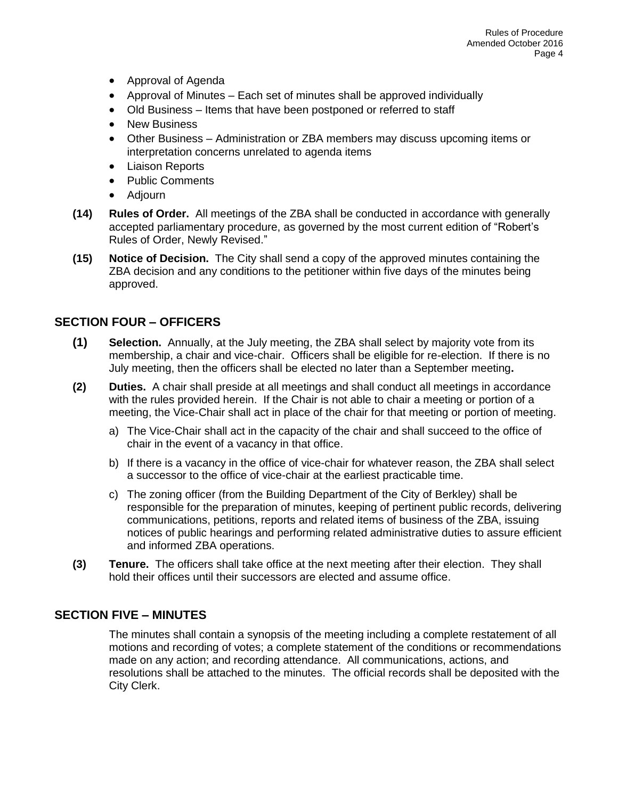- Approval of Agenda
- Approval of Minutes Each set of minutes shall be approved individually
- Old Business Items that have been postponed or referred to staff
- New Business
- Other Business Administration or ZBA members may discuss upcoming items or interpretation concerns unrelated to agenda items
- Liaison Reports
- Public Comments
- Adjourn
- **(14) Rules of Order.** All meetings of the ZBA shall be conducted in accordance with generally accepted parliamentary procedure, as governed by the most current edition of "Robert's Rules of Order, Newly Revised."
- **(15) Notice of Decision.** The City shall send a copy of the approved minutes containing the ZBA decision and any conditions to the petitioner within five days of the minutes being approved.

# **SECTION FOUR – OFFICERS**

- **(1) Selection.** Annually, at the July meeting, the ZBA shall select by majority vote from its membership, a chair and vice-chair. Officers shall be eligible for re-election. If there is no July meeting, then the officers shall be elected no later than a September meeting**.**
- **(2) Duties.** A chair shall preside at all meetings and shall conduct all meetings in accordance with the rules provided herein. If the Chair is not able to chair a meeting or portion of a meeting, the Vice-Chair shall act in place of the chair for that meeting or portion of meeting.
	- a) The Vice-Chair shall act in the capacity of the chair and shall succeed to the office of chair in the event of a vacancy in that office.
	- b) If there is a vacancy in the office of vice-chair for whatever reason, the ZBA shall select a successor to the office of vice-chair at the earliest practicable time.
	- c) The zoning officer (from the Building Department of the City of Berkley) shall be responsible for the preparation of minutes, keeping of pertinent public records, delivering communications, petitions, reports and related items of business of the ZBA, issuing notices of public hearings and performing related administrative duties to assure efficient and informed ZBA operations.
- **(3) Tenure.** The officers shall take office at the next meeting after their election. They shall hold their offices until their successors are elected and assume office.

# **SECTION FIVE – MINUTES**

The minutes shall contain a synopsis of the meeting including a complete restatement of all motions and recording of votes; a complete statement of the conditions or recommendations made on any action; and recording attendance. All communications, actions, and resolutions shall be attached to the minutes. The official records shall be deposited with the City Clerk.